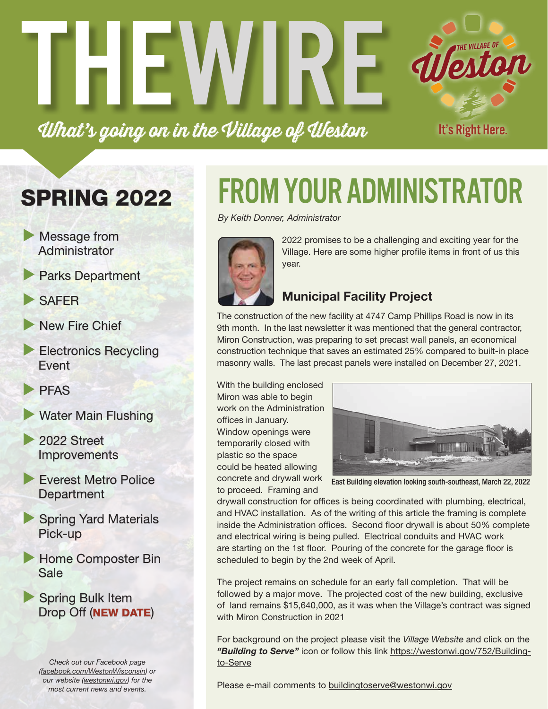

### SPRING 2022

- Message from **Administrator**
- **Parks Department**
- **SAFER**
- **New Fire Chief**
- **Electronics Recycling** Event
- **PFAS**
- $\blacktriangleright$  Water Main Flushing
- $\geq$  2022 Street **Improvements**
- **Everest Metro Police Department**
- Spring Yard Materials Pick-up
- **Home Composter Bin** Sale
- Spring Bulk Item Drop Off (NEW DATE)

*Check out our Facebook page (facebook.com/WestonWisconsin) or our website (westonwi.gov) for the most current news and events.*

# FROM YOUR ADMINISTRATOR

*By Keith Donner, Administrator*



2022 promises to be a challenging and exciting year for the Village. Here are some higher profile items in front of us this year.

### Municipal Facility Project

The construction of the new facility at 4747 Camp Phillips Road is now in its 9th month. In the last newsletter it was mentioned that the general contractor, Miron Construction, was preparing to set precast wall panels, an economical construction technique that saves an estimated 25% compared to built-in place masonry walls. The last precast panels were installed on December 27, 2021.

With the building enclosed Miron was able to begin work on the Administration offices in January. Window openings were temporarily closed with plastic so the space could be heated allowing concrete and drywall work to proceed. Framing and



East Building elevation looking south-southeast, March 22, 2022

drywall construction for offices is being coordinated with plumbing, electrical, and HVAC installation. As of the writing of this article the framing is complete inside the Administration offices. Second floor drywall is about 50% complete and electrical wiring is being pulled. Electrical conduits and HVAC work are starting on the 1st floor. Pouring of the concrete for the garage floor is scheduled to begin by the 2nd week of April.

The project remains on schedule for an early fall completion. That will be followed by a major move. The projected cost of the new building, exclusive of land remains \$15,640,000, as it was when the Village's contract was signed with Miron Construction in 2021

For background on the project please visit the *Village Website* and click on the *"Building to Serve"* icon or follow this link https://westonwi.gov/752/Buildingto-Serve

Please e-mail comments to buildingtoserve@westonwi.gov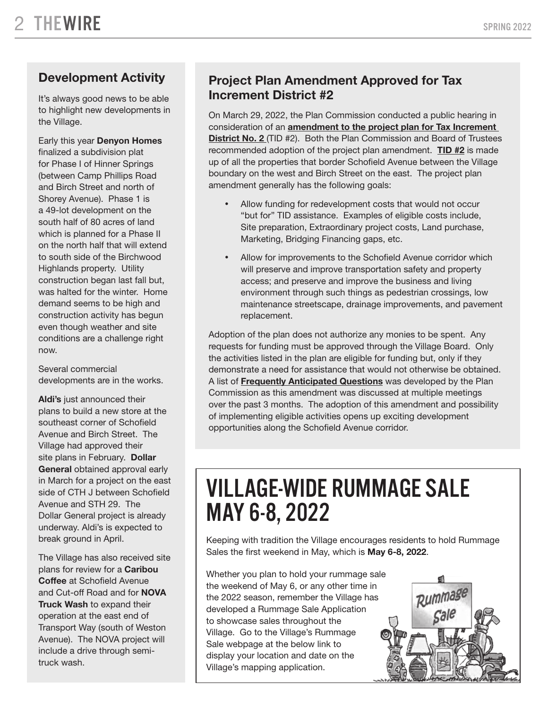### Development Activity

It's always good news to be able to highlight new developments in the Village.

Early this year Denyon Homes finalized a subdivision plat for Phase I of Hinner Springs (between Camp Phillips Road and Birch Street and north of Shorey Avenue). Phase 1 is a 49-lot development on the south half of 80 acres of land which is planned for a Phase II on the north half that will extend to south side of the Birchwood Highlands property. Utility construction began last fall but, was halted for the winter. Home demand seems to be high and construction activity has begun even though weather and site conditions are a challenge right now.

Several commercial developments are in the works.

Aldi's just announced their plans to build a new store at the southeast corner of Schofield Avenue and Birch Street. The Village had approved their site plans in February. Dollar General obtained approval early in March for a project on the east side of CTH J between Schofield Avenue and STH 29. The Dollar General project is already underway. Aldi's is expected to break ground in April.

The Village has also received site plans for review for a Caribou Coffee at Schofield Avenue and Cut-off Road and for NOVA Truck Wash to expand their operation at the east end of Transport Way (south of Weston Avenue). The NOVA project will include a drive through semitruck wash.

### Project Plan Amendment Approved for Tax Increment District #2

On March 29, 2022, the Plan Commission conducted a public hearing in consideration of an amendment to the project plan for Tax Increment District No. 2 (TID #2). Both the Plan Commission and Board of Trustees recommended adoption of the project plan amendment. TID #2 is made up of all the properties that border Schofield Avenue between the Village boundary on the west and Birch Street on the east. The project plan amendment generally has the following goals:

- Allow funding for redevelopment costs that would not occur "but for" TID assistance. Examples of eligible costs include, Site preparation, Extraordinary project costs, Land purchase, Marketing, Bridging Financing gaps, etc.
- Allow for improvements to the Schofield Avenue corridor which will preserve and improve transportation safety and property access; and preserve and improve the business and living environment through such things as pedestrian crossings, low maintenance streetscape, drainage improvements, and pavement replacement.

Adoption of the plan does not authorize any monies to be spent. Any requests for funding must be approved through the Village Board. Only the activities listed in the plan are eligible for funding but, only if they demonstrate a need for assistance that would not otherwise be obtained. A list of Frequently Anticipated Questions was developed by the Plan Commission as this amendment was discussed at multiple meetings over the past 3 months. The adoption of this amendment and possibility of implementing eligible activities opens up exciting development opportunities along the Schofield Avenue corridor.

### VILLAGE-WIDE RUMMAGE SALE MAY 6-8, 2022

Keeping with tradition the Village encourages residents to hold Rummage Sales the first weekend in May, which is May 6-8, 2022.

Whether you plan to hold your rummage sale the weekend of May 6, or any other time in the 2022 season, remember the Village has developed a Rummage Sale Application to showcase sales throughout the Village. Go to the Village's Rummage Sale webpage at the below link to display your location and date on the Village's mapping application.

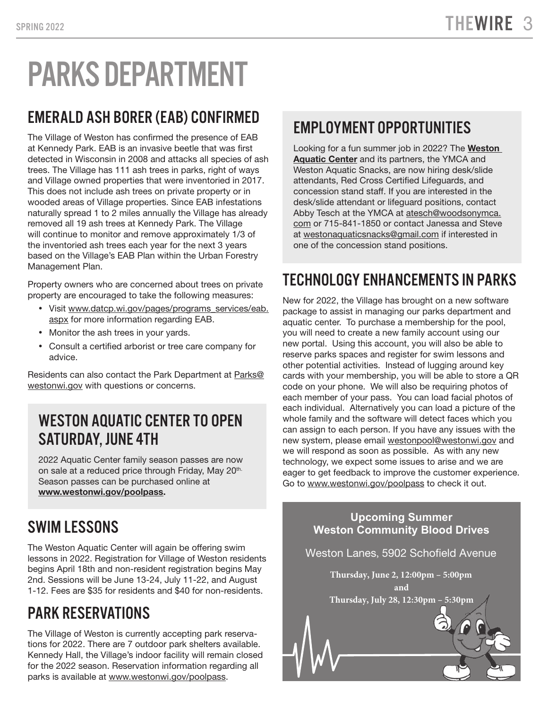# PARKS DEPARTMENT

### EMERALD ASH BORER (EAB) CONFIRMED

The Village of Weston has confirmed the presence of EAB at Kennedy Park. EAB is an invasive beetle that was first detected in Wisconsin in 2008 and attacks all species of ash trees. The Village has 111 ash trees in parks, right of ways and Village owned properties that were inventoried in 2017. This does not include ash trees on private property or in wooded areas of Village properties. Since EAB infestations naturally spread 1 to 2 miles annually the Village has already removed all 19 ash trees at Kennedy Park. The Village will continue to monitor and remove approximately 1/3 of the inventoried ash trees each year for the next 3 years based on the Village's EAB Plan within the Urban Forestry Management Plan.

Property owners who are concerned about trees on private property are encouraged to take the following measures:

- Visit www.datcp.wi.gov/pages/programs\_services/eab. aspx for more information regarding EAB.
- Monitor the ash trees in your yards.
- • Consult a certified arborist or tree care company for advice.

Residents can also contact the Park Department at Parks@ westonwi.gov with questions or concerns.

### WESTON AQUATIC CENTER TO OPEN SATURDAY, JUNE 4TH

2022 Aquatic Center family season passes are now on sale at a reduced price through Friday, May 20<sup>th.</sup> Season passes can be purchased online at www.westonwi.gov/poolpass.

### SWIM LESSONS

The Weston Aquatic Center will again be offering swim lessons in 2022. Registration for Village of Weston residents begins April 18th and non-resident registration begins May 2nd. Sessions will be June 13-24, July 11-22, and August 1-12. Fees are \$35 for residents and \$40 for non-residents.

### PARK RESERVATIONS

The Village of Weston is currently accepting park reservations for 2022. There are 7 outdoor park shelters available. Kennedy Hall, the Village's indoor facility will remain closed for the 2022 season. Reservation information regarding all parks is available at www.westonwi.gov/poolpass.

### EMPLOYMENT OPPORTUNITIES

Looking for a fun summer job in 2022? The Weston Aquatic Center and its partners, the YMCA and Weston Aquatic Snacks, are now hiring desk/slide attendants, Red Cross Certified Lifeguards, and concession stand staff. If you are interested in the desk/slide attendant or lifeguard positions, contact Abby Tesch at the YMCA at atesch@woodsonymca. com or 715-841-1850 or contact Janessa and Steve at westonaquaticsnacks@gmail.com if interested in one of the concession stand positions.

### TECHNOLOGY ENHANCEMENTS IN PARKS

New for 2022, the Village has brought on a new software package to assist in managing our parks department and aquatic center. To purchase a membership for the pool, you will need to create a new family account using our new portal. Using this account, you will also be able to reserve parks spaces and register for swim lessons and other potential activities. Instead of lugging around key cards with your membership, you will be able to store a QR code on your phone. We will also be requiring photos of each member of your pass. You can load facial photos of each individual. Alternatively you can load a picture of the whole family and the software will detect faces which you can assign to each person. If you have any issues with the new system, please email westonpool@westonwi.gov and we will respond as soon as possible. As with any new technology, we expect some issues to arise and we are eager to get feedback to improve the customer experience. Go to www.westonwi.gov/poolpass to check it out.

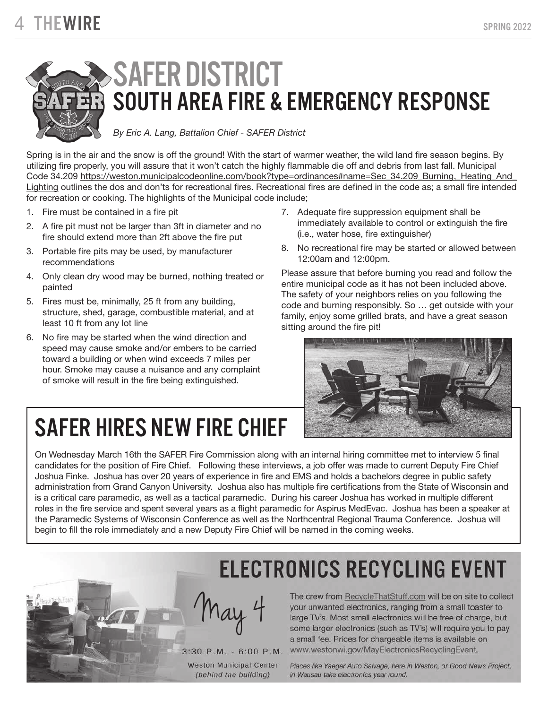### THEWIRE SPRING 2022



# SAFER DISTRICT SOUTH AREA FIRE & EMERGENCY RESPONSE

#### *By Eric A. Lang, Battalion Chief - SAFER District*

Spring is in the air and the snow is off the ground! With the start of warmer weather, the wild land fire season begins. By utilizing fire properly, you will assure that it won't catch the highly flammable die off and debris from last fall. Municipal Code 34.209 https://weston.municipalcodeonline.com/book?type=ordinances#name=Sec\_34.209\_Burning,\_Heating\_And Lighting outlines the dos and don'ts for recreational fires. Recreational fires are defined in the code as; a small fire intended for recreation or cooking. The highlights of the Municipal code include;

- 1. Fire must be contained in a fire pit
- 2. A fire pit must not be larger than 3ft in diameter and no fire should extend more than 2ft above the fire put
- 3. Portable fire pits may be used, by manufacturer recommendations
- 4. Only clean dry wood may be burned, nothing treated or painted
- 5. Fires must be, minimally, 25 ft from any building, structure, shed, garage, combustible material, and at least 10 ft from any lot line
- 6. No fire may be started when the wind direction and speed may cause smoke and/or embers to be carried toward a building or when wind exceeds 7 miles per hour. Smoke may cause a nuisance and any complaint of smoke will result in the fire being extinguished.
	- SAFER HIRES NEW FIRE CHIEF
- 7. Adequate fire suppression equipment shall be immediately available to control or extinguish the fire (i.e., water hose, fire extinguisher)
- 8. No recreational fire may be started or allowed between 12:00am and 12:00pm.

Please assure that before burning you read and follow the entire municipal code as it has not been included above. The safety of your neighbors relies on you following the code and burning responsibly. So … get outside with your family, enjoy some grilled brats, and have a great season sitting around the fire pit!



On Wednesday March 16th the SAFER Fire Commission along with an internal hiring committee met to interview 5 final candidates for the position of Fire Chief. Following these interviews, a job offer was made to current Deputy Fire Chief Joshua Finke. Joshua has over 20 years of experience in fire and EMS and holds a bachelors degree in public safety administration from Grand Canyon University. Joshua also has multiple fire certifications from the State of Wisconsin and is a critical care paramedic, as well as a tactical paramedic. During his career Joshua has worked in multiple different roles in the fire service and spent several years as a flight paramedic for Aspirus MedEvac. Joshua has been a speaker at the Paramedic Systems of Wisconsin Conference as well as the Northcentral Regional Trauma Conference. Joshua will begin to fill the role immediately and a new Deputy Fire Chief will be named in the coming weeks.

May 4

 $3:30$  P.M. - 6:00 P.M.

## **ELECTRONICS RECYCLING EVENT**

The crew from RecycleThatStuff.com will be on site to collect your unwanted electronics, ranging from a small toaster to large TV's. Most small electronics will be free of charge, but some larger electronics (such as TV's) will require you to pay a small fee. Prices for chargeable items is available on www.westonwi.gov/MayElectronicsRecyclingEvent.

**Weston Municipal Center** (behind the building)

Places like Yaeger Auto Salvage, here in Weston, or Good News Project, in Wausau take electronics year round.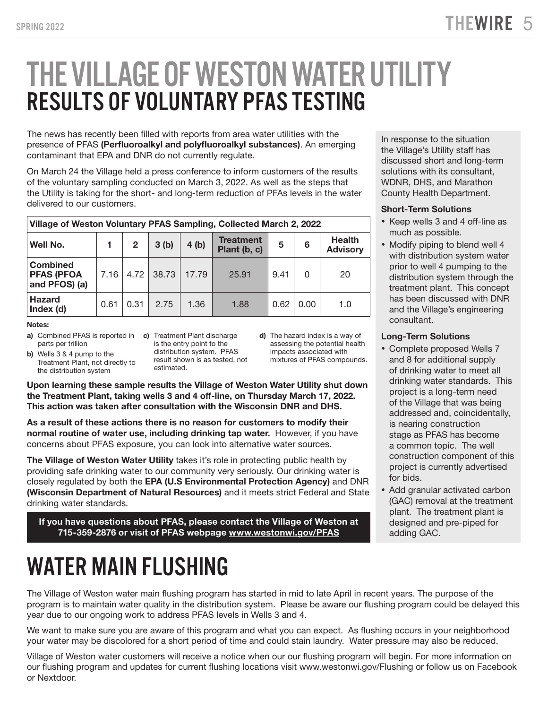# THE VILLAGE OF WESTON WATER UTILITY RESULTS OF VOLUNTARY PFAS TESTING

The news has recently been filled with reports from area water utilities with the presence of PFAS (Perfluoroalkyl and polyfluoroalkyl substances). An emerging contaminant that EPA and DNR do not currently regulate.

On March 24 the Village held a press conference to inform customers of the results of the voluntary sampling conducted on March 3, 2022. As well as the steps that the Utility is taking for the short- and long-term reduction of PFAs levels in the water delivered to our customers.

| Village of Weston Voluntary PFAS Sampling, Collected March 2, 2022 |      |              |                  |       |                                  |      |      |                                  |  |  |
|--------------------------------------------------------------------|------|--------------|------------------|-------|----------------------------------|------|------|----------------------------------|--|--|
| Well No.                                                           |      | $\mathbf{2}$ | 3 <sub>(b)</sub> | 4(b)  | <b>Treatment</b><br>Plant (b, c) | 5    | 6    | <b>Health</b><br><b>Advisory</b> |  |  |
| <b>Combined</b><br><b>PFAS (PFOA</b><br>and PFOS) (a)              | 7.16 | 4.72         | 38.73            | 17.79 | 25.91                            | 9.41 |      | 20                               |  |  |
| <b>Hazard</b><br>Index (d)                                         | 0.61 | 0.31         | 2.75             | 1.36  | 1.88                             | 0.62 | 0.00 | 1.0                              |  |  |

Notes:

- a) Combined PFAS is reported in c) Treatment Plant discharge parts per trillion
- b) Wells 3 & 4 pump to the Treatment Plant, not directly to the distribution system
- is the entry point to the distribution system. PFAS result shown is as tested, not estimated.
- d) The hazard index is a way of assessing the potential health impacts associated with mixtures of PFAS compounds.

Upon learning these sample results the Village of Weston Water Utility shut down the Treatment Plant, taking wells 3 and 4 off-line, on Thursday March 17, 2022. This action was taken after consultation with the Wisconsin DNR and DHS.

As a result of these actions there is no reason for customers to modify their normal routine of water use, including drinking tap water. However, if you have concerns about PFAS exposure, you can look into alternative water sources.

The Village of Weston Water Utility takes it's role in protecting public health by providing safe drinking water to our community very seriously. Our drinking water is closely regulated by both the EPA (U.S Environmental Protection Agency) and DNR (Wisconsin Department of Natural Resources) and it meets strict Federal and State drinking water standards.

If you have questions about PFAS, please contact the Village of Weston at 715-359-2876 or visit of PFAS webpage www.westonwi.gov/PFAS

In response to the situation the Village's Utility staff has discussed short and long-term solutions with its consultant, WDNR, DHS, and Marathon County Health Department.

#### Short-Term Solutions

- Keep wells 3 and 4 off-line as much as possible.
- Modify piping to blend well 4 with distribution system water prior to well 4 pumping to the distribution system through the treatment plant. This concept has been discussed with DNR and the Village's engineering consultant.

#### Long-Term Solutions

- • Complete proposed Wells 7 and 8 for additional supply of drinking water to meet all drinking water standards. This project is a long-term need of the Village that was being addressed and, coincidentally, is nearing construction stage as PFAS has become a common topic. The well construction component of this project is currently advertised for bids.
- Add granular activated carbon (GAC) removal at the treatment plant. The treatment plant is designed and pre-piped for adding GAC.

# WATER MAIN FLUSHING

The Village of Weston water main flushing program has started in mid to late April in recent years. The purpose of the program is to maintain water quality in the distribution system. Please be aware our flushing program could be delayed this year due to our ongoing work to address PFAS levels in Wells 3 and 4.

We want to make sure you are aware of this program and what you can expect. As flushing occurs in your neighborhood your water may be discolored for a short period of time and could stain laundry. Water pressure may also be reduced.

Village of Weston water customers will receive a notice when our our flushing program will begin. For more information on our flushing program and updates for current flushing locations visit www.westonwi.gov/Flushing or follow us on Facebook or Nextdoor.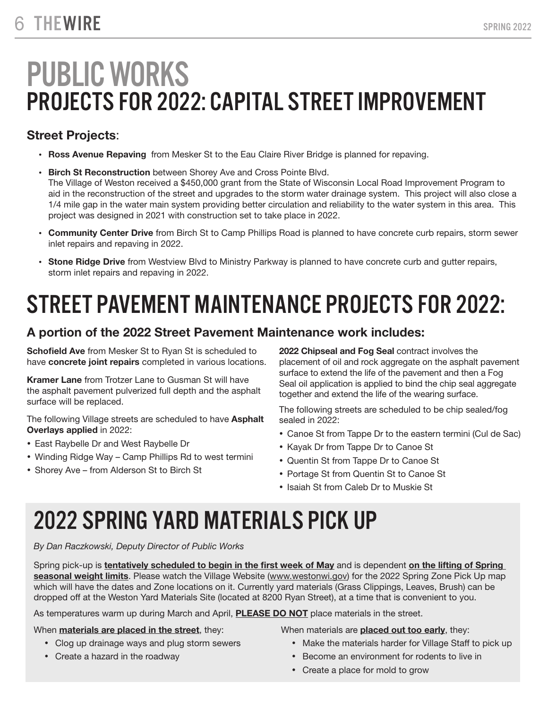### 6 THEWIRE SPRING 2022

# PUBLIC WORKS PROJECTS FOR 2022: CAPITAL STREET IMPROVEMENT

### Street Projects:

- Ross Avenue Repaving from Mesker St to the Eau Claire River Bridge is planned for repaving.
- Birch St Reconstruction between Shorey Ave and Cross Pointe Blvd. The Village of Weston received a \$450,000 grant from the State of Wisconsin Local Road Improvement Program to aid in the reconstruction of the street and upgrades to the storm water drainage system. This project will also close a 1/4 mile gap in the water main system providing better circulation and reliability to the water system in this area. This project was designed in 2021 with construction set to take place in 2022.
- Community Center Drive from Birch St to Camp Phillips Road is planned to have concrete curb repairs, storm sewer inlet repairs and repaving in 2022.
- Stone Ridge Drive from Westview Blvd to Ministry Parkway is planned to have concrete curb and gutter repairs, storm inlet repairs and repaving in 2022.

# STREET PAVEMENT MAINTENANCE PROJECTS FOR 2022:

### A portion of the 2022 Street Pavement Maintenance work includes:

Schofield Ave from Mesker St to Ryan St is scheduled to have concrete joint repairs completed in various locations.

Kramer Lane from Trotzer Lane to Gusman St will have the asphalt pavement pulverized full depth and the asphalt surface will be replaced.

The following Village streets are scheduled to have Asphalt Overlays applied in 2022:

- • East Raybelle Dr and West Raybelle Dr
- Winding Ridge Way Camp Phillips Rd to west termini
- Shorey Ave from Alderson St to Birch St

2022 Chipseal and Fog Seal contract involves the placement of oil and rock aggregate on the asphalt pavement surface to extend the life of the pavement and then a Fog Seal oil application is applied to bind the chip seal aggregate together and extend the life of the wearing surface.

The following streets are scheduled to be chip sealed/fog sealed in 2022:

- Canoe St from Tappe Dr to the eastern termini (Cul de Sac)
- Kayak Dr from Tappe Dr to Canoe St
- Quentin St from Tappe Dr to Canoe St
- Portage St from Quentin St to Canoe St
- Isaiah St from Caleb Dr to Muskie St

# 2022 SPRING YARD MATERIALS PICK UP

#### *By Dan Raczkowski, Deputy Director of Public Works*

Spring pick-up is tentatively scheduled to begin in the first week of May and is dependent on the lifting of Spring seasonal weight limits. Please watch the Village Website (www.westonwi.gov) for the 2022 Spring Zone Pick Up map which will have the dates and Zone locations on it. Currently yard materials (Grass Clippings, Leaves, Brush) can be dropped off at the Weston Yard Materials Site (located at 8200 Ryan Street), at a time that is convenient to you.

As temperatures warm up during March and April, **PLEASE DO NOT** place materials in the street.

#### When **materials are placed in the street**, they:

- Clog up drainage ways and plug storm sewers
- Create a hazard in the roadway

#### When materials are **placed out too early**, they:

- Make the materials harder for Village Staff to pick up
- • Become an environment for rodents to live in
- • Create a place for mold to grow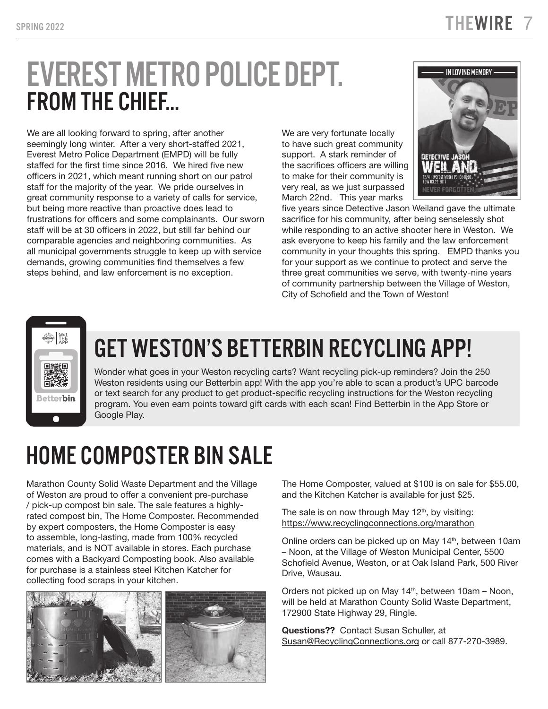### SPRING 2022  $\overline{ }$  THEWIRE  $\overline{ }$

# EVEREST METRO POLICE DEPT. FROM THE CHIEF…

We are all looking forward to spring, after another seemingly long winter. After a very short-staffed 2021, Everest Metro Police Department (EMPD) will be fully staffed for the first time since 2016. We hired five new officers in 2021, which meant running short on our patrol staff for the majority of the year. We pride ourselves in great community response to a variety of calls for service, but being more reactive than proactive does lead to frustrations for officers and some complainants. Our sworn staff will be at 30 officers in 2022, but still far behind our comparable agencies and neighboring communities. As all municipal governments struggle to keep up with service demands, growing communities find themselves a few steps behind, and law enforcement is no exception.



five years since Detective Jason Weiland gave the ultimate sacrifice for his community, after being senselessly shot while responding to an active shooter here in Weston. We ask everyone to keep his family and the law enforcement community in your thoughts this spring. EMPD thanks you for your support as we continue to protect and serve the three great communities we serve, with twenty-nine years of community partnership between the Village of Weston, City of Schofield and the Town of Weston!

We are very fortunate locally

support. A stark reminder of



# GET WESTON'S BETTERBIN RECYCLING APP!

Wonder what goes in your Weston recycling carts? Want recycling pick-up reminders? Join the 250 Weston residents using our Betterbin app! With the app you're able to scan a product's UPC barcode or text search for any product to get product-specific recycling instructions for the Weston recycling program. You even earn points toward gift cards with each scan! Find Betterbin in the App Store or Google Play.

# HOME COMPOSTER BIN SALE

Marathon County Solid Waste Department and the Village of Weston are proud to offer a convenient pre-purchase / pick-up compost bin sale. The sale features a highlyrated compost bin, The Home Composter. Recommended by expert composters, the Home Composter is easy to assemble, long-lasting, made from 100% recycled materials, and is NOT available in stores. Each purchase comes with a Backyard Composting book. Also available for purchase is a stainless steel Kitchen Katcher for collecting food scraps in your kitchen.



The Home Composter, valued at \$100 is on sale for \$55.00, and the Kitchen Katcher is available for just \$25.

The sale is on now through May  $12<sup>th</sup>$ , by visiting: https://www.recyclingconnections.org/marathon

Online orders can be picked up on May 14<sup>th</sup>, between 10am – Noon, at the Village of Weston Municipal Center, 5500 Schofield Avenue, Weston, or at Oak Island Park, 500 River Drive, Wausau.

Orders not picked up on May 14<sup>th</sup>, between 10am - Noon, will be held at Marathon County Solid Waste Department, 172900 State Highway 29, Ringle.

Questions?? Contact Susan Schuller, at Susan@RecyclingConnections.org or call 877-270-3989.